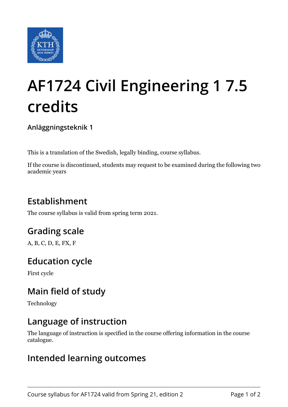

# **AF1724 Civil Engineering 1 7.5 credits**

**Anläggningsteknik 1**

This is a translation of the Swedish, legally binding, course syllabus.

If the course is discontinued, students may request to be examined during the following two academic years

# **Establishment**

The course syllabus is valid from spring term 2021.

# **Grading scale**

A, B, C, D, E, FX, F

## **Education cycle**

First cycle

## **Main field of study**

Technology

### **Language of instruction**

The language of instruction is specified in the course offering information in the course catalogue.

#### **Intended learning outcomes**